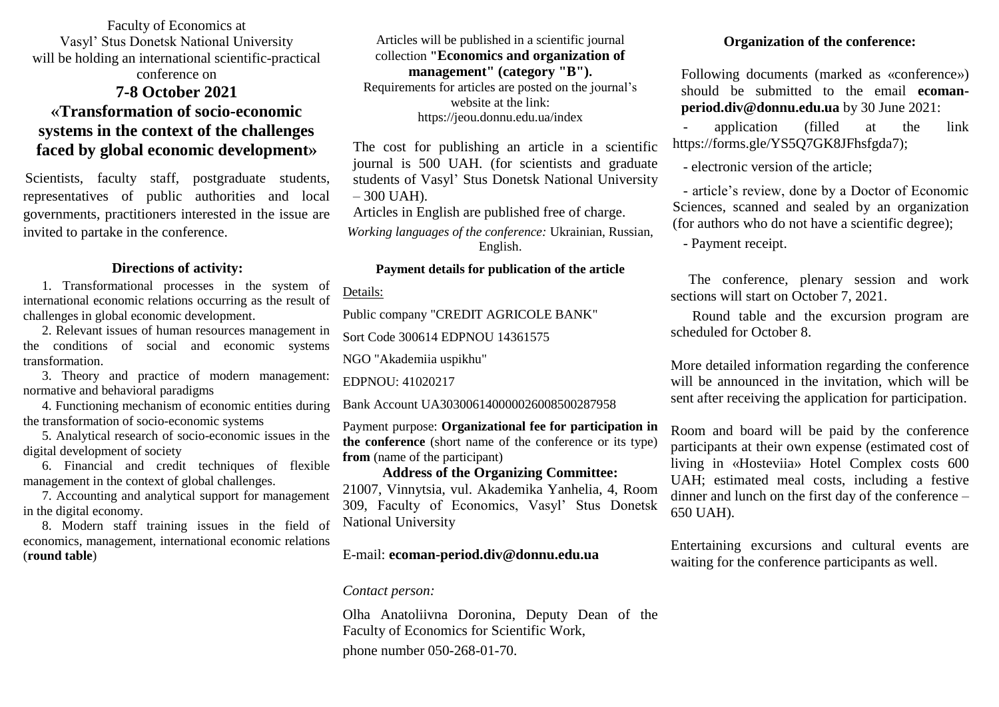Faculty of Economics at Vasyl' Stus Donetsk National University will be holding an international scientific-practical

## conference on

# **7-8 October 2021 «Transformation of socio-economic systems in the context of the challenges faced by global economic development»**

Scientists, faculty staff, postgraduate students, representatives of public authorities and local governments, practitioners interested in the issue are invited to partake in the conference.

#### **Directions of activity:**

1. Transformational processes in the system of international economic relations occurring as the result of challenges in global economic development.

2. Relevant issues of human resources management in the conditions of social and economic systems transformation.

3. Theory and practice of modern management: normative and behavioral paradigms

4. Functioning mechanism of economic entities during the transformation of socio-economic systems

5. Analytical research of socio-economic issues in the digital development of society

6. Financial and credit techniques of flexible management in the context of global challenges.

7. Accounting and analytical support for management in the digital economy.

8. Modern staff training issues in the field of economics, management, international economic relations (**round table**)

Articles will be published in a scientific journal collection **"Economics and organization of management" (category "B").** Requirements for articles are posted on the journal's website at the link: https://jeou.donnu.edu.ua/index

The cost for publishing an article in a scientific journal is 500 UAH. (for scientists and graduate students of Vasyl' Stus Donetsk National University  $-300$  UAH). Articles in English are published free of charge. *Working languages of the conference:* Ukrainian, Russian,

English.

## **Payment details for publication of the article**

Details:

Public company "CREDIT AGRICOLE BANK"

Sort Code 300614 EDPNOU 14361575

NGO "Akademiia uspikhu"

EDPNOU: 41020217

Bank Account UA303006140000026008500287958

Payment purpose: **Organizational fee for participation in the conference** (short name of the conference or its type) **from** (name of the participant)

## **Address of the Organizing Committee:**

21007, Vinnytsia, vul. Akademika Yanhelia, 4, Room 309, Faculty of Economics, Vasyl' Stus Donetsk National University

## E-mail: **[ecoman-period.div@donnu.edu.ua](mailto:ecoman-period.div@donnu.edu.ua)**

#### *Contact person:*

Olha Anatoliivna Doronina, Deputy Dean of the Faculty of Economics for Scientific Work, phone number 050-268-01-70.

## **Organization of the conference:**

Following documents (marked as «conference») should be submitted to the email **[ecoman](mailto:ecoman-period.div@donnu.edu.ua)[period.div@donnu.edu.ua](mailto:ecoman-period.div@donnu.edu.ua)** by 30 June 2021:

application (filled at the link https://forms.gle/YS5Q7GK8JFhsfgda7);

- electronic version of the article;

- article's review, done by a Doctor of Economic Sciences, scanned and sealed by an organization (for authors who do not have a scientific degree);

- Payment receipt.

 The conference, plenary session and work sections will start on October 7, 2021.

 Round table and the excursion program are scheduled for October 8.

More detailed information regarding the conference will be announced in the invitation, which will be sent after receiving the application for participation.

Room and board will be paid by the conference participants at their own expense (estimated cost of living in «Hosteviia» Hotel Complex costs 600 UAH; estimated meal costs, including a festive dinner and lunch on the first day of the conference – 650 UAH).

Entertaining excursions and cultural events are waiting for the conference participants as well.